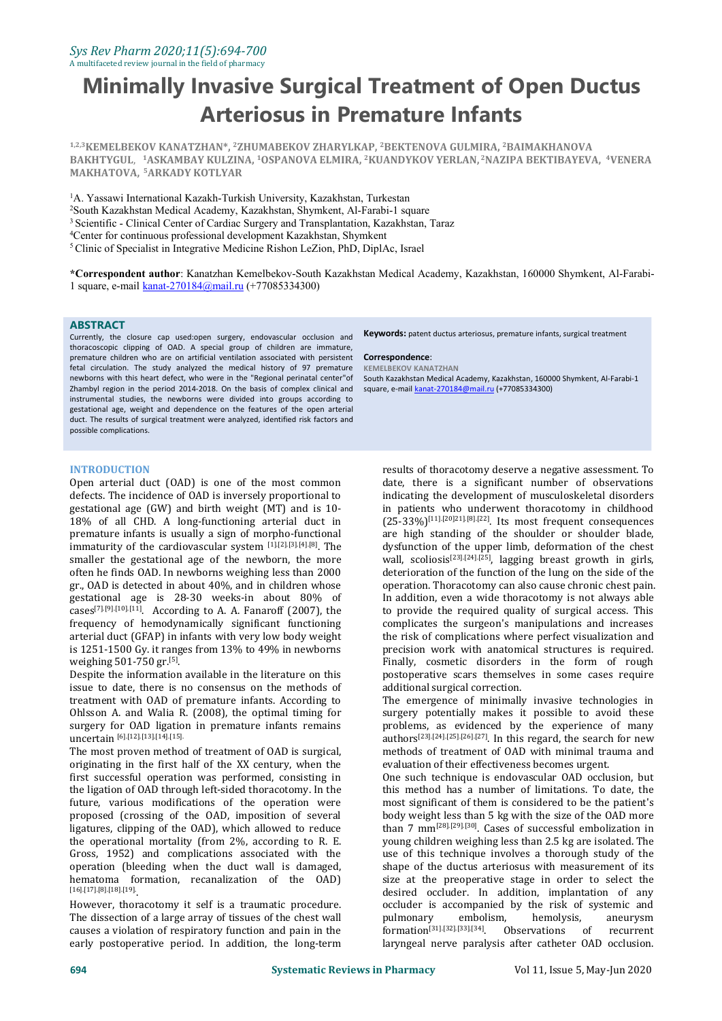# **Minimally Invasive Surgical Treatment of Open Ductus Arteriosus in Premature Infants**

**1,2,3KEMELBEKOV KANATZHAN\*, <sup>2</sup>ZHUMABEKOV ZHARYLKAP, <sup>2</sup>BEKTENOVA GULMIRA, <sup>2</sup>BAIMAKHANOVA BAKHTYGUL**, **<sup>1</sup>ASKAMBAY KULZINA, <sup>1</sup>OSPANOVA ELMIRA, <sup>2</sup>KUANDYKOV YERLAN, <sup>2</sup>NAZIPA BEKTIBAYEVA, <sup>4</sup>VENERA MAKHATOVA, <sup>5</sup>ARKADY KOTLYAR**

<sup>1</sup>A. Yassawi International Kazakh-Turkish University, Kazakhstan, Turkestan <sup>2</sup>South Kazakhstan Medical Academy, Kazakhstan, Shymkent, Al-Farabi-1 square <sup>3</sup> Scientific - Clinical Center of Cardiac Surgery and Transplantation, Kazakhstan, Taraz <sup>4</sup>Center for continuous professional development Kazakhstan, Shymkent <sup>5</sup>Clinic of Specialist in Integrative Medicine Rishon LeZion, PhD, DiplAc, Israel

**\*Correspondent author**: Kanatzhan Kemelbekov-South Kazakhstan Medical Academy, Kazakhstan, 160000 Shymkent, Al-Farabi- 1 square, e-mail [kanat-270184@mail.ru](mailto:kanat-270184@mail.ru) (+77085334300)

#### **ABSTRACT**

Currently, the closure cap used:open surgery, endovascular occlusion and thoracoscopic clipping of OAD. A special group of children are immature, premature children who are on artificial ventilation associated with persistent fetal circulation. The study analyzed the medical history of 97 premature newborns with this heart defect, who were in the "Regional perinatal center"of Zhambyl region in the period 2014-2018. On the basis of complex clinical and instrumental studies, the newborns were divided into groups according to gestational age, weight and dependence on the features of the open arterial duct. The results of surgical treatment were analyzed, identified risk factors and possible complications.

#### **Keywords:** patent ductus arteriosus, premature infants, surgical treatment

#### **Correspondence**:

**KEMELBEKOV KANATZHAN** South Kazakhstan Medical Academy, Kazakhstan, 160000 Shymkent, Al-Farabi-1 square, e-mail [kanat-270184@mail.ru](mailto:kanat-270184@mail.ru) (+77085334300)

#### **INTRODUCTION**

Open arterial duct (OAD) is one of the most common defects. The incidence of OAD is inversely proportional to gestational age (GW) and birth weight (MT) and is 10- 18% of all CHD. A long-functioning arterial duct in premature infants is usually a sign of morpho-functional immaturity of the cardiovascular system [1].[2].[3].[4].[8]. The smaller the gestational age of the newborn, the more often he finds OAD. In newborns weighing less than 2000 gr., OAD is detected in about 40%, and in children whose gestational age is 28-30 weeks-in about 80% of cases<sup>[7],[9],[10],[11]</sup>. According to A. A. Fanaroff (2007), the  $\qquad \qquad$  to provide t frequency of hemodynamically significant functioning arterial duct (GFAP) in infants with very low body weight is 1251-1500 Gy. it ranges from 13% to 49% in newborns weighing 501-750 gr.<sup>[5]</sup>. .

Despite the information available in the literature on this issue to date, there is no consensus on the methods of treatment with OAD of premature infants. According to Ohlsson A. and Walia R. (2008), the optimal timing for surgery for OAD ligation in premature infants remains uncertain [6].[12].[13].[14].[15].

The most proven method of treatment of OAD is surgical, originating in the first half of the XX century, when the first successful operation was performed, consisting in the ligation of OAD through left-sided thoracotomy. In the future, various modifications of the operation were proposed (crossing of the OAD, imposition of several ligatures, clipping of the OAD), which allowed to reduce the operational mortality (from 2%, according to R. E. Gross, 1952) and complications associated with the operation (bleeding when the duct wall is damaged, hematoma formation, recanalization of the OAD)  $[16]$ .[17].[8].[18].[19].

However, thoracotomy it self is a traumatic procedure. The dissection of a large array of tissues of the chest wall pulmonary The dissection of a large array of tissues of the chest wall causes a violation of respiratory function and pain in the early postoperative period. In addition, the long-term

. The dysfunction of the upper limb, deformation of the chest results of thoracotomy deserve a negative assessment.To date, there is a significant number of observations indicating the development of musculoskeletal disorders in patients who underwent thoracotomy in childhood  $(25-33%)$ <sup>[11].[20]21].[8].[22]</sup>. Its most frequent consequences are high standing of the shoulder or shoulder blade, wall, scoliosis<sup>[23].[24].[25]</sup>, lagging breast growth in girls, deterioration of the function of the lung on the side of the operation. Thoracotomy can also cause chronic chest pain. In addition, even a wide thoracotomy is not always able to provide the required quality of surgical access. This complicates the surgeon's manipulations and increases the risk of complications where perfect visualization and precision work with anatomical structures is required. Finally, cosmetic disorders in the form of rough postoperative scars themselves in some cases require additional surgical correction.

> The emergence of minimally invasive technologies in surgery potentially makes it possible to avoid these problems, as evidenced by the experience of many authors [23].[24].[25].[26].[27] . In this regard, the search for new methods of treatment of OAD with minimal trauma and evaluation of their effectiveness becomes urgent.

One such technique is endovascular OAD occlusion, but this method has a number of limitations. To date, the most significant of them is considered to be the patient's body weight less than 5 kg with the size of the OAD more than 7 mm<sup>[28].[29].[30]</sup>. Cases of successful embolization in young children weighing less than 2.5 kg are isolated.The use of this technique involves a thorough study of the shape of the ductus arteriosus with measurement of its size at the preoperative stage in order to select the desired occluder. In addition, implantation of any occluder is accompanied by the risk of systemic and<br>pulmonary embolism, hemolysis, aneurysm pulmonary embolism, hemolysis, aneurysm  $formation^{[31],[32],[33],[34]}$ . Observat Observations of recurrent laryngeal nerve paralysis after catheter OAD occlusion.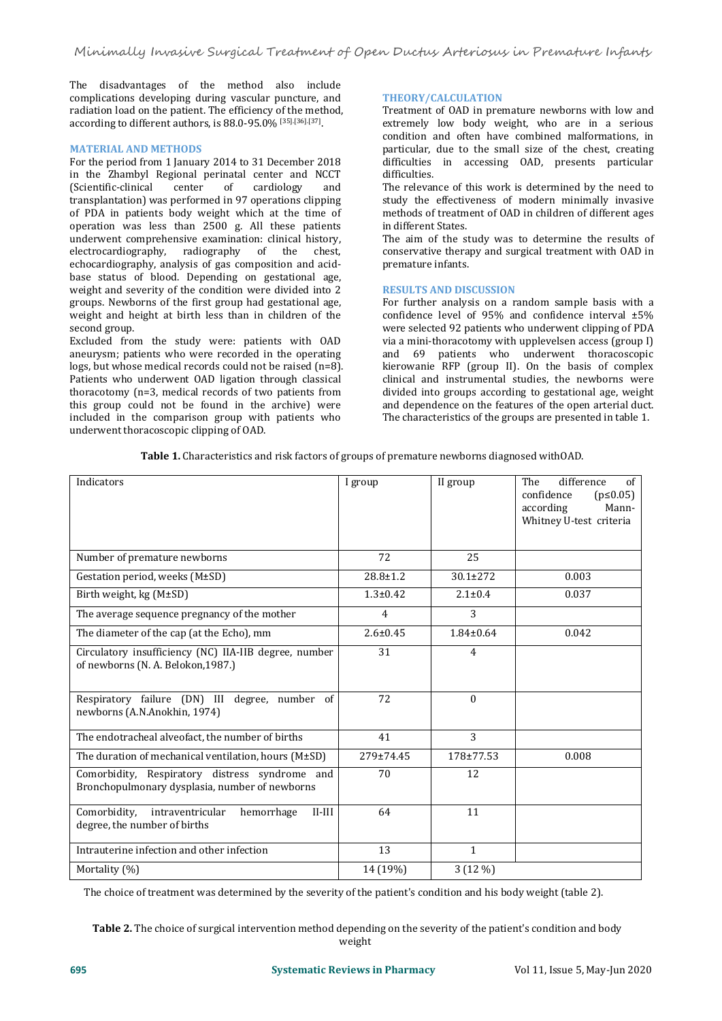The disadvantages of the method also include complications developing during vascular puncture, and radiation load on the patient. The efficiency of the method, according to different authors, is 88.0-95.0% [35].[36].[37]. .

#### **MATERIAL AND METHODS**

For the period from 1 January 2014 to 31 December 2018 in the Zhambyl Regional perinatal center and NCCT<br>(Scientific-clinical center of cardiology and (Scientific-clinical transplantation) was performed in 97 operations clipping of PDA in patients body weight which at the time of operation was less than 2500 g. All these patients underwent comprehensive examination: clinical history,<br>electrocardiography, radiography of the chest, electrocardiography, echocardiography, analysis of gas composition and acid base status of blood. Depending on gestational age, weight and severity of the condition were divided into 2 groups. Newborns of the first group had gestational age, weight and height at birth less than in children of the second group.

Excluded from the study were: patients with OAD aneurysm; patients who were recorded in the operating logs, but whose medical records could not be raised (n=8). Patients who underwent OAD ligation through classical thoracotomy (n=3, medical records of two patients from this group could not be found in the archive) were included in the comparison group with patients who underwent thoracoscopic clipping of OAD.

## **THEORY/CALCULATION**

Treatment of OAD in premature newborns with low and extremely low body weight, who are in a serious condition and often have combined malformations, in particular, due to the small size of the chest, creating difficulties in accessing OAD, presents particular difficulties.

The relevance of this work is determined by the need to study the effectiveness of modern minimally invasive methods of treatment of OAD in children of different ages in different States.

The aim of the study was to determine the results of conservative therapy and surgical treatment with OAD in premature infants.

## **RESULTS AND DISCUSSION**

For further analysis on a random sample basis with a confidence level of 95% and confidence interval ±5% were selected 92 patients who underwent clipping of PDA via a mini-thoracotomy with upplevelsen access (group I) and 69 patients who underwent thoracoscopic kierowanie RFP (group II). On the basis of complex clinical and instrumental studies, the newborns were divided into groups according to gestational age, weight and dependence on the features of the open arterial duct. The characteristics of the groups are presented in table 1.

| <b>Table 1.</b> Characteristics and risk factors of groups of premature newborns diagnosed withOAD. |  |
|-----------------------------------------------------------------------------------------------------|--|
|-----------------------------------------------------------------------------------------------------|--|

| Indicators                                                                                       | I group        | II group        | difference<br>The<br>of<br>confidence<br>$(p \le 0.05)$<br>according<br>Mann-<br>Whitney U-test criteria |
|--------------------------------------------------------------------------------------------------|----------------|-----------------|----------------------------------------------------------------------------------------------------------|
| Number of premature newborns                                                                     | 72             | 25              |                                                                                                          |
| Gestation period, weeks (M±SD)                                                                   | $28.8 \pm 1.2$ | 30.1±272        | 0.003                                                                                                    |
| Birth weight, $kg(M\pm SD)$                                                                      | $1.3 + 0.42$   | $2.1 \pm 0.4$   | 0.037                                                                                                    |
| The average sequence pregnancy of the mother                                                     | $\overline{4}$ | 3               |                                                                                                          |
| The diameter of the cap (at the Echo), mm                                                        | $2.6 \pm 0.45$ | $1.84 \pm 0.64$ | 0.042                                                                                                    |
| Circulatory insufficiency (NC) IIA-IIB degree, number<br>of newborns (N. A. Belokon, 1987.)      | 31             | 4               |                                                                                                          |
| Respiratory failure (DN) III degree, number of<br>newborns (A.N.Anokhin, 1974)                   | 72             | $\Omega$        |                                                                                                          |
| The endotracheal alveofact, the number of births                                                 | 41             | 3               |                                                                                                          |
| The duration of mechanical ventilation, hours (M±SD)                                             | 279±74.45      | 178±77.53       | 0.008                                                                                                    |
| Comorbidity, Respiratory distress syndrome and<br>Bronchopulmonary dysplasia, number of newborns | 70             | 12              |                                                                                                          |
| Comorbidity,<br>intraventricular<br>$II$ - $III$<br>hemorrhage<br>degree, the number of births   | 64             | 11              |                                                                                                          |
| Intrauterine infection and other infection                                                       | 13             | $\mathbf{1}$    |                                                                                                          |
| Mortality (%)                                                                                    | 14 (19%)       | 3 (12 %)        |                                                                                                          |

The choice of treatment was determined by the severity of the patient's condition and his body weight (table 2).

**Table 2.** The choice of surgical intervention method depending on the severity of the patient's condition and body weight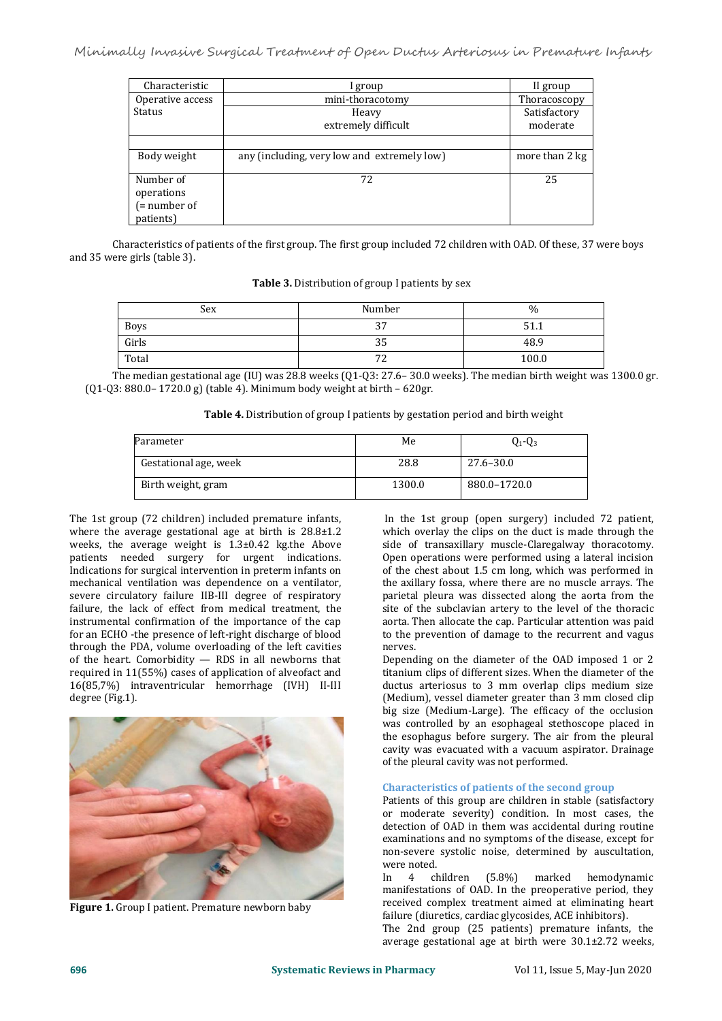| Characteristic   | I group                                     | II group       |
|------------------|---------------------------------------------|----------------|
| Operative access | mini-thoracotomy                            | Thoracoscopy   |
| Status           | Heavy                                       | Satisfactory   |
|                  | extremely difficult                         | moderate       |
|                  |                                             |                |
| Body weight      | any (including, very low and extremely low) | more than 2 kg |
|                  |                                             |                |
| Number of        | 72                                          | 25             |
| operations       |                                             |                |
| $($ = number of  |                                             |                |
| patients)        |                                             |                |

Characteristics of patients of the first group. The first group included 72 children with OAD. Of these, 37 were boys and 35 were girls (table 3).

| <b>Table 3.</b> Distribution of group I patients by sex |  |
|---------------------------------------------------------|--|
|---------------------------------------------------------|--|

| Sex   | Number            | $\frac{0}{0}$ |
|-------|-------------------|---------------|
| Boys  | $\sim$<br>ىر.     | J T'T         |
| Girls | <u>_</u><br>კუ    | 48.9          |
| Total | $\mathbf{a}$<br>- | 100.0         |

The median gestational age (IU) was 28.8 weeks (Q1-Q3: 27.6– 30.0 weeks). The median birth weight was 1300.0 gr. (Q1-Q3: 880.0– 1720.0 g) (table 4). Minimum body weightat birth – 620gr.

|  | Table 4. Distribution of group I patients by gestation period and birth weight |  |
|--|--------------------------------------------------------------------------------|--|
|--|--------------------------------------------------------------------------------|--|

| Parameter             | Me     | $Q_1 - Q_3$   |
|-----------------------|--------|---------------|
| Gestational age, week | 28.8   | $27.6 - 30.0$ |
| Birth weight, gram    | 1300.0 | 880.0-1720.0  |

The 1st group (72 children) included premature infants, where the average gestational age at birth is 28.8±1.2 weeks, the average weight is 1.3±0.42 kg.the Above patients needed surgery for urgent indications. Indications for surgical intervention in preterm infants on mechanical ventilation was dependence on a ventilator, severe circulatory failure IIB-III degree of respiratory failure, the lack of effect from medical treatment, the instrumental confirmation of the importance of the cap for an ECHO -the presence of left-right discharge of blood through the PDA, volume overloading of the left cavities of the heart. Comorbidity — RDS in all newborns that required in 11(55%) cases of application of alveofact and 16(85,7%) intraventricular hemorrhage (IVH) II-III degree (Fig.1).



**Figure 1.** Group I patient. Premature newborn baby

In the 1st group (open surgery) included 72 patient, which overlay the clips on the duct is made through the side of transaxillary muscle-Claregalway thoracotomy. Open operations were performed using a lateral incision of the chest about 1.5 cm long, which was performed in the axillary fossa, where there are no muscle arrays. The parietal pleura was dissected along the aorta from the site of the subclavian artery to the level of the thoracic aorta. Then allocate the cap. Particular attention was paid to the prevention of damage to the recurrent and vagus nerves.

Depending on the diameter of the OAD imposed 1 or 2 titanium clips of different sizes. When the diameter of the ductus arteriosus to 3 mm overlap clips medium size (Medium), vessel diameter greater than 3 mm closed clip big size (Medium-Large). The efficacy of the occlusion was controlled by an esophageal stethoscope placed in the esophagus before surgery. The air from the pleural cavity was evacuated with a vacuum aspirator. Drainage of the pleural cavity was not performed.

### **Characteristics of patients of the second group**

Patients of this group are children in stable (satisfactory or moderate severity) condition. In most cases, the detection of OAD in them was accidental during routine examinations and no symptoms of the disease, except for non-severe systolic noise, determined by auscultation,

were noted.<br>In 4 children (5.8%) marked hemodynamic manifestations of OAD. In the preoperative period, they received complex treatment aimed at eliminating heart failure (diuretics, cardiac glycosides, ACE inhibitors).

The 2nd group (25 patients) premature infants, the average gestational age at birth were 30.1±2.72 weeks,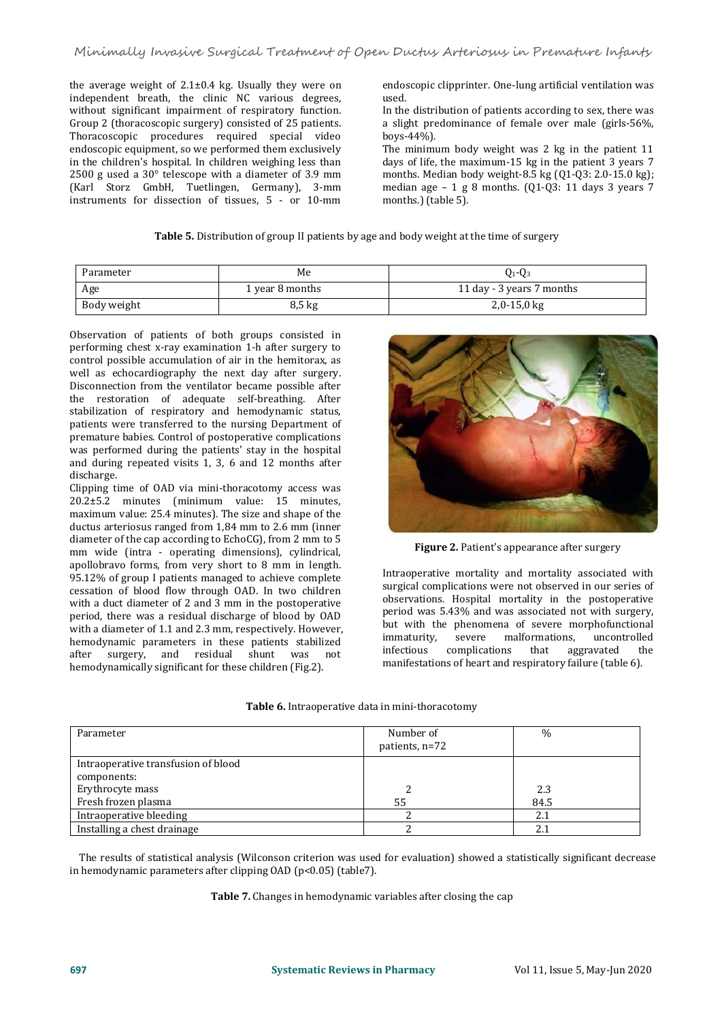the average weight of  $2.1\pm0.4$  kg. Usually they were on independent breath, the clinic NC various degrees, without significant impairment of respiratory function. Group 2 (thoracoscopic surgery) consisted of 25 patients. a slight presention of 25 patients. A slight present<br>Thoracoscopic procedures required special video boys-44%). Thoracoscopic procedures required special video endoscopic equipment, so we performed them exclusively in the children's hospital. In children weighing less than 2500 g used a 30° telescope with a diameter of 3.9 mm (Karl Storz GmbH, Tuetlingen, Germany), 3-mm instruments for dissection of tissues, 5 - or 10-mm

endoscopic clipprinter. One-lung artificial ventilation was used.

In the distribution of patients according to sex, there was a slight predominance of female over male (girls-56%,

The minimum body weight was 2 kg in the patient 11 days of life, the maximum-15 kg in the patient 3 years 7 months. Median body weight-8.5 kg (Q1-Q3: 2.0-15.0 kg); median age  $-1$  g 8 months. (Q1-Q3: 11 days 3 years 7 months.) (table 5).

| Table 5. Distribution of group II patients by age and body weight at the time of surgery |  |
|------------------------------------------------------------------------------------------|--|
|------------------------------------------------------------------------------------------|--|

| Parameter   | Me              | $Q_1 - Q_3$               |
|-------------|-----------------|---------------------------|
| Age         | 1 year 8 months | 11 day - 3 years 7 months |
| Body weight | 8,5 kg          | $2,0-15,0$ kg             |

Observation of patients of both groups consisted in performing chest x-ray examination 1-h after surgery to control possible accumulation of air in the hemitorax, as well as echocardiography the next day after surgery. Disconnection from the ventilator became possible after the restoration of adequate self-breathing. After stabilization of respiratory and hemodynamic status, patients were transferred to the nursing Department of premature babies. Control of postoperative complications was performed during the patients' stay in the hospital and during repeated visits 1, 3, 6 and 12 months after discharge.

Clipping time of OAD via mini-thoracotomy access was 20.2±5.2 minutes (minimum value: 15 minutes, maximum value: 25.4 minutes). The size and shape of the ductus arteriosus ranged from 1,84 mm to 2.6 mm (inner diameter of the cap according to EchoCG), from 2 mm to 5 mm wide (intra - operating dimensions), cylindrical, apollobravo forms, from very short to 8 mm in length. 95.12% of group I patients managed to achieve complete cessation of blood flow through OAD. In two children with a duct diameter of 2 and 3 mm in the postoperative period, there was a residual discharge of blood by OAD with a diameter of 1.1 and 2.3 mm, respectively. However, but with the homodynamic normators in these patients at hillined immaturity. hemodynamic parameters in these patients stabilized<br>after surgery, and residual shunt was not infectious complicat surgery, and residual shunt was hemodynamically significant for these children (Fig.2).



**Figure 2.** Patient's appearance after surgery

Intraoperative mortality and mortality associated with surgical complications were not observed in our series of observations. Hospital mortality in the postoperative period was 5.43% and was associated not with surgery, but with the phenomena of severe morphofunctional<br>immaturity severe malformations uncontrolled malformations, uncontrolled<br>ions that aggravated the complications manifestations of heart and respiratory failure (table 6).

| Table 6. Intraoperative data in mini-thoracotomy |  |
|--------------------------------------------------|--|
|--------------------------------------------------|--|

| Parameter                                          | Number of<br>patients, n=72 | $\%$        |
|----------------------------------------------------|-----------------------------|-------------|
| Intraoperative transfusion of blood<br>components: |                             |             |
| Erythrocyte mass<br>Fresh frozen plasma            | 55                          | 2.3<br>84.5 |
| Intraoperative bleeding                            |                             | 2.1         |
| Installing a chest drainage                        |                             | 2.1         |

The results of statistical analysis (Wilconson criterion was used for evaluation) showed a statistically significant decrease in hemodynamic parameters after clipping OAD (p<0.05) (table7).

**Table 7.** Changes in hemodynamic variables after closing the cap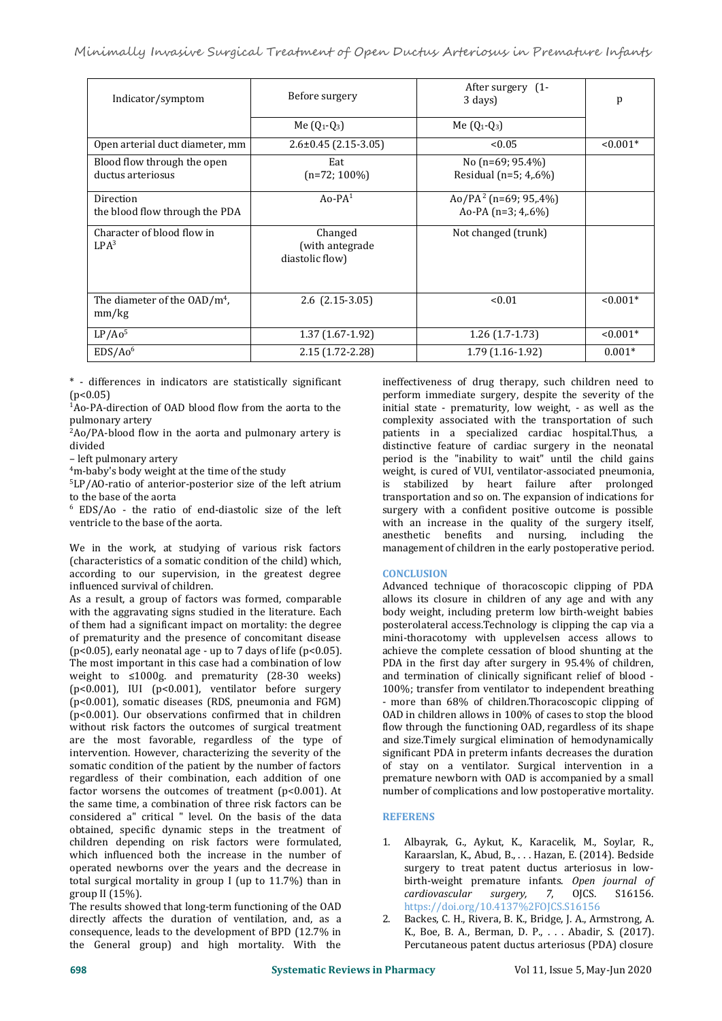| Indicator/symptom                                | Before surgery                                | After surgery (1-<br>3 days)                                | p          |
|--------------------------------------------------|-----------------------------------------------|-------------------------------------------------------------|------------|
|                                                  | Me $(Q_1-Q_3)$                                | Me $(Q_1-Q_3)$                                              |            |
| Open arterial duct diameter, mm                  | $2.6\pm0.45$ (2.15-3.05)                      | < 0.05                                                      | $< 0.001*$ |
| Blood flow through the open<br>ductus arteriosus | Eat<br>$(n=72; 100\%)$                        | No (n=69; 95.4%)<br>Residual (n=5; 4,.6%)                   |            |
| Direction<br>the blood flow through the PDA      | $Ao-PA1$                                      | Ao/PA <sup>2</sup> (n=69; 95,.4%)<br>Ao-PA ( $n=3$ ; 4,.6%) |            |
| Character of blood flow in<br>LPA <sup>3</sup>   | Changed<br>(with antegrade<br>diastolic flow) | Not changed (trunk)                                         |            |
| The diameter of the $OAD/m4$ ,<br>mm/kg          | $2.6$ $(2.15-3.05)$                           | < 0.01                                                      | $< 0.001*$ |
| LP/AO <sup>5</sup>                               | $1.37(1.67-1.92)$                             | $1.26(1.7-1.73)$                                            | $< 0.001*$ |
| EDS/Ao <sup>6</sup>                              | $2.15(1.72 - 2.28)$                           | $1.79(1.16-1.92)$                                           | $0.001*$   |

\* - differences in indicators are statistically significant  $(p<0.05)$ 

<sup>1</sup>Ao-PA-direction of OAD blood flow from the aorta to the pulmonary artery

 ${}^{2}$ Ao/PA-blood flow in the aorta and pulmonary artery is divided divided

– left pulmonary artery

<sup>4</sup>m-baby's body weight at the time of the study  $\frac{4 \text{m}}{3 \text{L}}$  even by the study step of the left atrium is

<sup>5</sup>LP/AO-ratio of anterior-posterior size of the left atrium to the base of the aorta

<sup>6</sup> EDS/Ao - the ratio of end-diastolic size of the left ventricle to the base of the aorta.

We in the work, at studying of various risk factors (characteristics of a somatic condition of the child) which, according to our supervision, in the greatest degree influenced survival of children.

As a result, a group of factors was formed, comparable with the aggravating signs studied in the literature. Each of them had a significant impact on mortality: the degree of prematurity and the presence of concomitant disease (p<0.05), early neonatal age - up to 7 days of life (p<0.05). The most important in this case had a combination of low weight to ≤1000g. and prematurity (28-30 weeks) (p<0.001), IUI (p<0.001), ventilator before surgery (p<0.001), somatic diseases (RDS, pneumonia and FGM) (p<0.001). Our observations confirmed that in children without risk factors the outcomes of surgical treatment are the most favorable, regardless of the type of intervention. However, characterizing the severity of the significant PDA in preterm infants decreases the duration somatic condition of the patient by the number of factors of stay on a ventilator. Surgical intervention i somatic condition of the patient by the number of factors regardless of their combination, each addition of one factor worsens the outcomes of treatment (p<0.001). At the same time, a combination of three risk factors can be considered a" critical " level. On the basis of the data obtained, specific dynamic steps in the treatment of children depending on risk factors were formulated, which influenced both the increase in the number of operated newborns over the years and the decrease in total surgical mortality in group I (up to 11.7%) than in birth-weight p<br>group II (15%). cardiovascular group II (15%).

The results showed that long-term functioning of the OAD<br>directly affects the duration of ventilation and as a directly affects the duration of ventilation, and, as a consequence, leads to the development of BPD (12.7% in the General group) and high mortality. With the

ineffectiveness of drug therapy, such children need to perform immediate surgery, despite the severity of the initial state - prematurity, low weight, - as well as the complexity associated with the transportation of such patients in a specialized cardiac hospital.Thus, a distinctive feature of cardiac surgery in the neonatal period is the "inability to wait" until the child gains weight, is cured of VUI, ventilator-associated pneumonia, stabilized by heart failure after prolonged transportation and so on. The expansion of indications for surgery with a confident positive outcome is possible with an increase in the quality of the surgery itself, anesthetic benefits and nursing, including the management of children in the early postoperative period.

# **CONCLUSION**

Advanced technique of thoracoscopic clipping of PDA allows its closure in children of any age and with any body weight, including preterm low birth-weight babies posterolateral access.Technology is clipping the cap via a mini-thoracotomy with upplevelsen access allows to achieve the complete cessation of blood shunting at the PDA in the first day after surgery in 95.4% of children, and termination of clinically significant relief of blood - 100%; transfer from ventilator to independent breathing - more than 68% of children.Thoracoscopic clipping of OAD in children allows in 100% of cases to stop the blood flow through the functioning OAD, regardless of its shape and size.Timely surgical elimination of hemodynamically significant PDA in preterm infants decreases the duration premature newborn with OAD is accompanied by a small number of complications and low postoperative mortality.

# **REFERENS**

- 1. Albayrak, G., Aykut, K., Karacelik, M., Soylar, R., Karaarslan, K., Abud, B., . . . Hazan, E. (2014). Bedside surgery to treat patent ductus arteriosus in low birth-weight premature infants. *Open journal of cardiovascular surgery, <sup>7</sup>*, OJCS. S16156. https://doi.org/10.4137%2FOJCS.S16156
- 2. Backes, C. H., Rivera, B. K., Bridge, J. A., Armstrong, A. K., Boe, B. A., Berman, D. P., . . . Abadir, S. (2017). Percutaneous patent ductus arteriosus (PDA) closure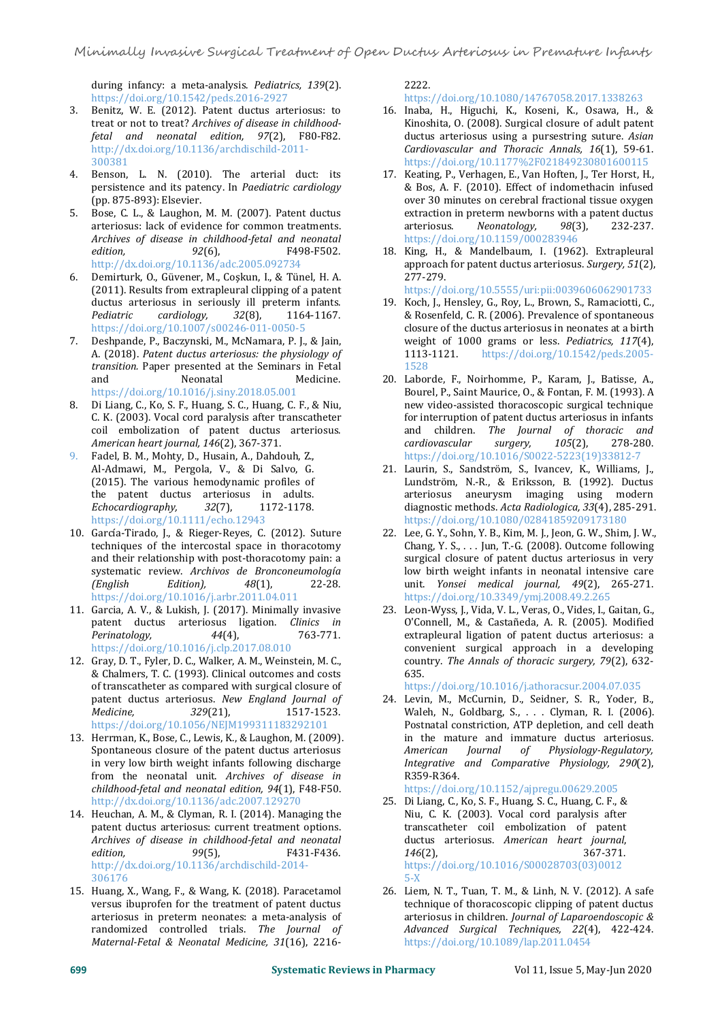during infancy: a meta-analysis. *Pediatrics, 139*(2). https://doi.org/10.1542/peds.2016-2927

- 3. Benitz, W. E. (2012). Patent ductus arteriosus: to treat or not to treat? *Archives of disease in childhoodfetal and neonatal edition, 97*(2), F80-F82. http://dx.doi.org/10.1136/archdischild-2011- 300381
- 4. Benson, L. N. (2010). The arterial duct: its persistence and its patency. In *Paediatric cardiology* (pp. 875-893): Elsevier.
- 5. Bose, C. L., & Laughon, M. M. (2007). Patent ductus arteriosus: lack of evidence for common treatments. *Archives of disease in childhood-fetal and neonatal edition, 92*(6), F498-F502. http://dx.doi.org/10.1136/adc.2005.092734
- 6. Demirturk, O., Güvener, M., Coşkun, I., & Tünel, H. A. (2011). Results from extrapleural clipping of a patent ductus arteriosus in seriously ill preterm infants. *Pediatric cardiology, <sup>32</sup>*(8), 1164-1167. https://doi.org/10.1007/s00246-011-0050-5
- 7. Deshpande, P., Baczynski, M., McNamara, P. J., & Jain, weight of 1<br>A. (2018). Patent ductus arteriosus: the physiology of 1113-1121. A. (2018). *Patent ductus arteriosus: the physiology of transition.* Paper presented at the Seminars in Fetal and Neonatal Medicine. https://doi.org/10.1016/j.siny.2018.05.001
- 8. Di Liang, C., Ko, S. F., Huang, S. C., Huang, C. F., & Niu, C. K. (2003). Vocal cord paralysis after transcatheter coil embolization of patent ductus arteriosus. *American heart journal, <sup>146</sup>*(2), 367-371.
- 9. Fadel, B. M., Mohty, D., Husain, A., Dahdouh, Z., Al-Admawi, M., Pergola, V., & Di Salvo, G. (2015). The various hemodynamic profiles of the patent ductus arteriosus in adults. *Echocardiography, <sup>32</sup>*(7), 1172-1178. https://doi.org/10.1111/echo.12943
- 10. García-Tirado, J., & Rieger-Reyes, C. (2012). Suture techniques of the intercostal space in thoracotomy and their relationship with post-thoracotomy pain: a systematic review. *Archivos de Bronconeumología*  $Edition$ , https://doi.org/10.1016/j.arbr.2011.04.011
- 11. Garcia, A. V., & Lukish, J. (2017). Minimally invasive patent ductus arteriosus ligation. *Clinics in Perinatology, <sup>44</sup>*(4), 763-771. https://doi.org/10.1016/j.clp.2017.08.010
- 12. Gray, D. T., Fyler, D. C., Walker, A. M., Weinstein, M. C., & Chalmers, T. C. (1993). Clinical outcomes and costs of transcatheter as compared with surgical closure of patent ductus arteriosus. *New England Journal of Medicine, 329*(21), 1517-1523. https://doi.org/10.1056/NEJM199311183292101 Postnata
- 13. Herrman, K., Bose, C., Lewis, K., & Laughon, M. (2009). Spontaneous closure of the patent ductus arteriosus in very low birth weight infants following discharge from the neonatal unit. Archives of disease in *childhood-fetal and neonatal edition, 94*(1), F48-F50. http://dx.doi.org/10.1136/adc.2007.129270
- 14. Heuchan, A. M., & Clyman, R. I. (2014). Managing the patent ductus arteriosus: current treatment options. patent ductus arteriosus: current treatment options. *Archives of disease in childhood-fetal and neonatal edition, 99*(5), F431-F436. http://dx.doi.org/10.1136/archdischild-2014- 306176
- 15. Huang, X., Wang, F., & Wang, K. (2018). Paracetamol versus ibuprofen for the treatment of patent ductus arteriosus in preterm neonates: a meta-analysis of randomized controlled trials. *The Journal of Maternal-Fetal & Neonatal Medicine,31*(16), 2216-

2222.

# https://doi.org/10.1080/14767058.2017.1338263

- 16. Inaba, H., Higuchi, K., Koseni, K., Osawa, H., & Kinoshita, O. (2008). Surgical closure of adult patent<br>ductus arteriosus using a pursestring suture. Asian Gardiovascular and Thoracic Annals, 16(1), 59-61. https://doi.org/10.1177%2F021849230801600115
- 17. Keating, P., Verhagen, E., Van Hoften, J., Ter Horst, H., & Bos, A. F. (2010). Effect of indomethacin infused over 30 minutes on cerebral fractional tissue oxygen extraction in preterm newborns with a patent ductus<br>arteriosus. Neonatology, 98(3), 232-237.  $Neonatology,$ https://doi.org/10.1159/000283946
- 18. King, H., & Mandelbaum, I. (1962). Extrapleural approach for patent ductus arteriosus. *Surgery, 51*(2), 277-279.

https://doi.org/10.5555/uri:pii:0039606062901733

- 19. Koch, J., Hensley, G., Roy, L., Brown, S., Ramaciotti, C., & Rosenfeld, C. R. (2006). Prevalence of spontaneous closure of the ductus arteriosus in neonates at a birth weight of 1000 grams or less. *Pediatrics, 117*(4), https://doi.org/10.1542/peds.2005-1528
- 20. Laborde, F., Noirhomme, P., Karam, J., Batisse, A., Bourel, P., Saint Maurice, O., & Fontan, F. M. (1993).A new video-assisted thoracoscopic surgical technique for interruption of patent ductus arteriosus in infants and children. *The Journal of thoracic and*  $cardiovascular$ https://doi.org/10.1016/S0022-5223(19)33812-7
- 21. Laurin, S., Sandström, S., Ivancev, K., Williams, J., Lundström, N.-R., & Eriksson, B. (1992). Ductus arteriosus aneurysm imaging using modern diagnostic methods. *Acta Radiologica, 33*(4), 285-291. https://doi.org/10.1080/02841859209173180
- 22. Lee, G. Y., Sohn, Y. B., Kim, M. J., Jeon, G. W., Shim, J. W., Chang, Y. S., . . . Jun, T.-G. (2008). Outcome following surgical closure of patent ductus arteriosus in very low birth weight infants in neonatal intensive care unit. *Yonsei medical journal, 49*(2), 265-271. https://doi.org/10.3349/ymj.2008.49.2.265
- 23. Leon-Wyss, J., Vida, V. L., Veras, O., Vides, I., Gaitan, G., O'Connell, M., & Castañeda, A. R. (2005). Modified extrapleural ligation of patent ductus arteriosus: a convenient surgical approach in a developing country. *The Annals of thoracic surgery, 79*(2), 632- 635.

https://doi.org/10.1016/j.athoracsur.2004.07.035

24. Levin, M., McCurnin, D., Seidner, S. R., Yoder, B., Waleh, N., Goldbarg, S., . . . Clyman, R. I. (2006). Postnatal constriction, ATP depletion, and cell death in the mature and immature ductus arteriosus. *American Journal of Physiology-Regulatory, Integrative and Comparative Physiology, 290*(2), R359-R364.

https://doi.org/10.1152/ajpregu.00629.2005

- 25. Di Liang, C., Ko, S. F., Huang, S. C., Huang, C. F., & Niu, C. K. (2003). Vocal cord paralysis after transcatheter coil embolization of patent ductus arteriosus. *American heart journal*, *<sup>146</sup>*(2), 367-371. https://doi.org/10.1016/S00028703(03)0012 5-X
- 26. Liem, N. T., Tuan, T. M., & Linh, N. V. (2012). A safe technique of thoracoscopic clipping of patent ductus arteriosus in children. *Journal of Laparoendoscopic & Advanced Surgical Techniques, 22*(4), 422-424. https://doi.org/10.1089/lap.2011.0454